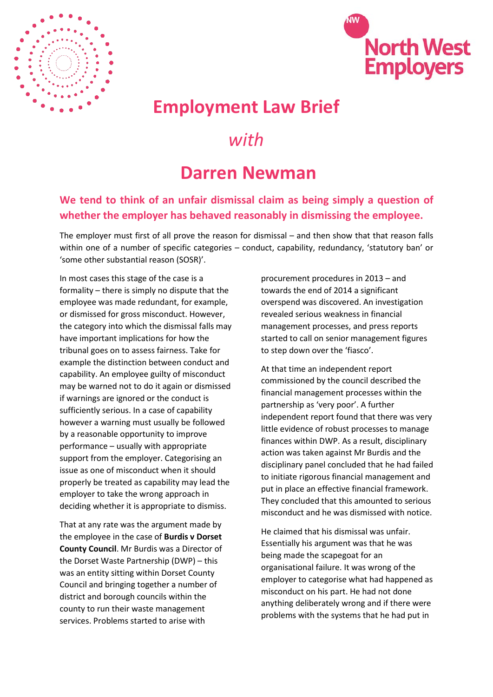



## **Employment Law Brief**

## *with*

## **Darren Newman**

## **We tend to think of an unfair dismissal claim as being simply a question of whether the employer has behaved reasonably in dismissing the employee.**

The employer must first of all prove the reason for dismissal – and then show that that reason falls within one of a number of specific categories – conduct, capability, redundancy, 'statutory ban' or 'some other substantial reason (SOSR)'.

In most cases this stage of the case is a formality – there is simply no dispute that the employee was made redundant, for example, or dismissed for gross misconduct. However, the category into which the dismissal falls may have important implications for how the tribunal goes on to assess fairness. Take for example the distinction between conduct and capability. An employee guilty of misconduct may be warned not to do it again or dismissed if warnings are ignored or the conduct is sufficiently serious. In a case of capability however a warning must usually be followed by a reasonable opportunity to improve performance – usually with appropriate support from the employer. Categorising an issue as one of misconduct when it should properly be treated as capability may lead the employer to take the wrong approach in deciding whether it is appropriate to dismiss.

That at any rate was the argument made by the employee in the case of **Burdis v Dorset County Council**. Mr Burdis was a Director of the Dorset Waste Partnership (DWP) – this was an entity sitting within Dorset County Council and bringing together a number of district and borough councils within the county to run their waste management services. Problems started to arise with

procurement procedures in 2013 – and towards the end of 2014 a significant overspend was discovered. An investigation revealed serious weakness in financial management processes, and press reports started to call on senior management figures to step down over the 'fiasco'.

At that time an independent report commissioned by the council described the financial management processes within the partnership as 'very poor'. A further independent report found that there was very little evidence of robust processes to manage finances within DWP. As a result, disciplinary action was taken against Mr Burdis and the disciplinary panel concluded that he had failed to initiate rigorous financial management and put in place an effective financial framework. They concluded that this amounted to serious misconduct and he was dismissed with notice.

He claimed that his dismissal was unfair. Essentially his argument was that he was being made the scapegoat for an organisational failure. It was wrong of the employer to categorise what had happened as misconduct on his part. He had not done anything deliberately wrong and if there were problems with the systems that he had put in